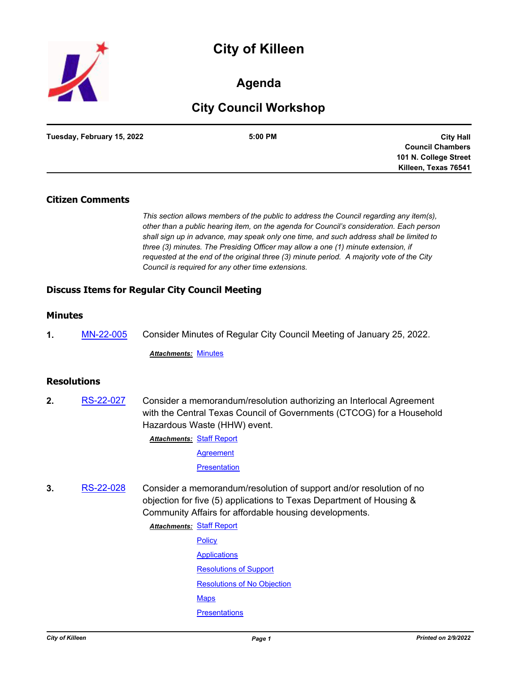



## **Agenda**

# **City Council Workshop**

| Tuesday, February 15, 2022 | 5:00 PM | <b>City Hall</b>        |
|----------------------------|---------|-------------------------|
|                            |         | <b>Council Chambers</b> |
|                            |         | 101 N. College Street   |
|                            |         | Killeen, Texas 76541    |

## **Citizen Comments**

*This section allows members of the public to address the Council regarding any item(s), other than a public hearing item, on the agenda for Council's consideration. Each person shall sign up in advance, may speak only one time, and such address shall be limited to three (3) minutes. The Presiding Officer may allow a one (1) minute extension, if requested at the end of the original three (3) minute period. A majority vote of the City Council is required for any other time extensions.*

## **Discuss Items for Regular City Council Meeting**

## **Minutes**

**1.** [MN-22-005](http://killeen.legistar.com/gateway.aspx?m=l&id=/matter.aspx?key=5969) Consider Minutes of Regular City Council Meeting of January 25, 2022.

*Attachments:* [Minutes](http://killeen.legistar.com/gateway.aspx?M=F&ID=b26b7824-9f9f-4c4d-8cd9-84ea7ab93909.pdf)

## **Resolutions**

**2.** [RS-22-027](http://killeen.legistar.com/gateway.aspx?m=l&id=/matter.aspx?key=5967) Consider a memorandum/resolution authorizing an Interlocal Agreement with the Central Texas Council of Governments (CTCOG) for a Household Hazardous Waste (HHW) event.

**Attachments: [Staff Report](http://killeen.legistar.com/gateway.aspx?M=F&ID=fc0ce2eb-a373-41d4-9903-901bda80a93b.pdf)** 

**[Agreement](http://killeen.legistar.com/gateway.aspx?M=F&ID=8d259b8d-9bcd-485a-b1c1-04044c0fe6f0.pdf)** 

**[Presentation](http://killeen.legistar.com/gateway.aspx?M=F&ID=e740c2d7-2f86-4d66-8df3-84344ef032b3.pdf)** 

**3.** [RS-22-028](http://killeen.legistar.com/gateway.aspx?m=l&id=/matter.aspx?key=5933) Consider a memorandum/resolution of support and/or resolution of no objection for five (5) applications to Texas Department of Housing & Community Affairs for affordable housing developments.

**Attachments: [Staff Report](http://killeen.legistar.com/gateway.aspx?M=F&ID=5b581a7b-7f48-4aa1-9ed7-06243630a809.pdf)** 

**[Policy](http://killeen.legistar.com/gateway.aspx?M=F&ID=d0483488-602b-46db-9c8e-8cdbbaeaec12.pdf) [Applications](http://killeen.legistar.com/gateway.aspx?M=F&ID=43e6d69e-6ecb-4f85-a692-ac1bd7c2880f.pdf)** [Resolutions of Support](http://killeen.legistar.com/gateway.aspx?M=F&ID=bb1d4d3e-115b-44e0-9a18-c8b2129f44f7.pdf) [Resolutions of No Objection](http://killeen.legistar.com/gateway.aspx?M=F&ID=7f674e03-1637-4cb2-ac9d-af34d76a7e37.pdf) **[Maps](http://killeen.legistar.com/gateway.aspx?M=F&ID=7f9f28b9-ead9-42e5-b2fa-dd57caf0fc49.pdf) [Presentations](http://killeen.legistar.com/gateway.aspx?M=F&ID=c3174707-dc6c-48a7-beb0-7101ccb70e37.pdf)**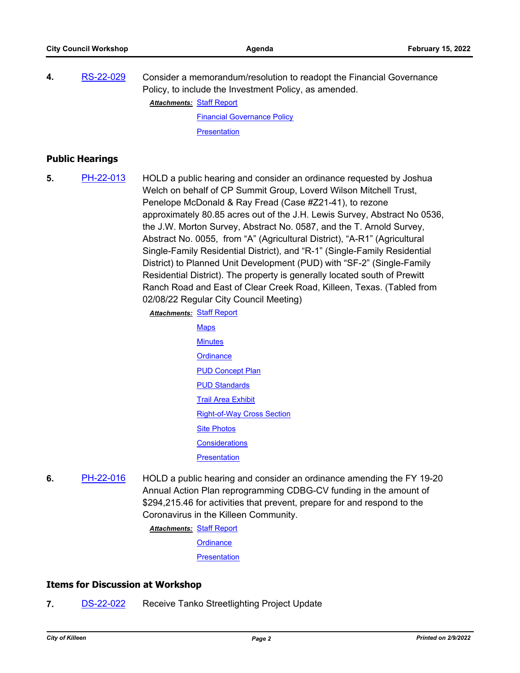| 4. | RS-22-029 | Consider a memorandum/resolution to readopt the Financial Governance |
|----|-----------|----------------------------------------------------------------------|
|    |           | Policy, to include the Investment Policy, as amended.                |
|    |           | <u> Attachments:  Staff Report</u>                                   |

[Financial Governance Policy](http://killeen.legistar.com/gateway.aspx?M=F&ID=092a3d8a-2dde-4a74-945a-fae33cf55970.pdf) **[Presentation](http://killeen.legistar.com/gateway.aspx?M=F&ID=639451e7-d237-4b43-923b-edfa30b1cd64.pdf)** 

## **Public Hearings**

**5.** [PH-22-013](http://killeen.legistar.com/gateway.aspx?m=l&id=/matter.aspx?key=5882) HOLD a public hearing and consider an ordinance requested by Joshua Welch on behalf of CP Summit Group, Loverd Wilson Mitchell Trust, Penelope McDonald & Ray Fread (Case #Z21-41), to rezone approximately 80.85 acres out of the J.H. Lewis Survey, Abstract No 0536, the J.W. Morton Survey, Abstract No. 0587, and the T. Arnold Survey, Abstract No. 0055, from "A" (Agricultural District), "A-R1" (Agricultural Single-Family Residential District), and "R-1" (Single-Family Residential District) to Planned Unit Development (PUD) with "SF-2" (Single-Family Residential District). The property is generally located south of Prewitt Ranch Road and East of Clear Creek Road, Killeen, Texas. (Tabled from 02/08/22 Regular City Council Meeting)

**Attachments: [Staff Report](http://killeen.legistar.com/gateway.aspx?M=F&ID=cc5b5b20-446a-4079-89e8-eec87e77e1c7.pdf)** 

- **[Maps](http://killeen.legistar.com/gateway.aspx?M=F&ID=325b89c8-d2fd-4066-9e4d-fa58fad6d707.pdf) [Minutes](http://killeen.legistar.com/gateway.aspx?M=F&ID=e8cda71c-cb2c-4571-b109-a057e4fdba80.pdf) [Ordinance](http://killeen.legistar.com/gateway.aspx?M=F&ID=5811de3c-e366-4c9c-88fc-d5d30a6313f5.pdf)** [PUD Concept Plan](http://killeen.legistar.com/gateway.aspx?M=F&ID=9fa5a437-5aba-4801-83e1-5ddc0c7299ef.pdf) **[PUD Standards](http://killeen.legistar.com/gateway.aspx?M=F&ID=93cb9ca9-d8f1-4429-a30e-43c4d93a1da5.pdf) [Trail Area Exhibit](http://killeen.legistar.com/gateway.aspx?M=F&ID=0a7de0b3-7ee3-45f1-9298-64baf5101f69.pdf)** [Right-of-Way Cross Section](http://killeen.legistar.com/gateway.aspx?M=F&ID=3506e061-2db9-4ef3-a0fb-929bcd7579a8.pdf) [Site Photos](http://killeen.legistar.com/gateway.aspx?M=F&ID=dc5aea95-d167-42b0-8ddd-152464c84ff8.pdf) **[Considerations](http://killeen.legistar.com/gateway.aspx?M=F&ID=cc59f48e-473d-4296-a63b-ff7ec615b5a9.pdf) [Presentation](http://killeen.legistar.com/gateway.aspx?M=F&ID=4926ab8c-68b8-4eb6-b4bf-2f9c756aa3a2.pdf)**
- **6.** [PH-22-016](http://killeen.legistar.com/gateway.aspx?m=l&id=/matter.aspx?key=5961) HOLD a public hearing and consider an ordinance amending the FY 19-20 Annual Action Plan reprogramming CDBG-CV funding in the amount of \$294,215.46 for activities that prevent, prepare for and respond to the Coronavirus in the Killeen Community.

**Attachments: [Staff Report](http://killeen.legistar.com/gateway.aspx?M=F&ID=053d2165-df7c-4f33-99b4-850365496505.pdf)** 

**[Ordinance](http://killeen.legistar.com/gateway.aspx?M=F&ID=e44930fb-8ea2-41d7-9a96-ea423ec35933.pdf)** 

**[Presentation](http://killeen.legistar.com/gateway.aspx?M=F&ID=4fe536cd-f094-47d7-b155-d4349a6cf24c.pdf)** 

## **Items for Discussion at Workshop**

**7.** [DS-22-022](http://killeen.legistar.com/gateway.aspx?m=l&id=/matter.aspx?key=5792) Receive Tanko Streetlighting Project Update